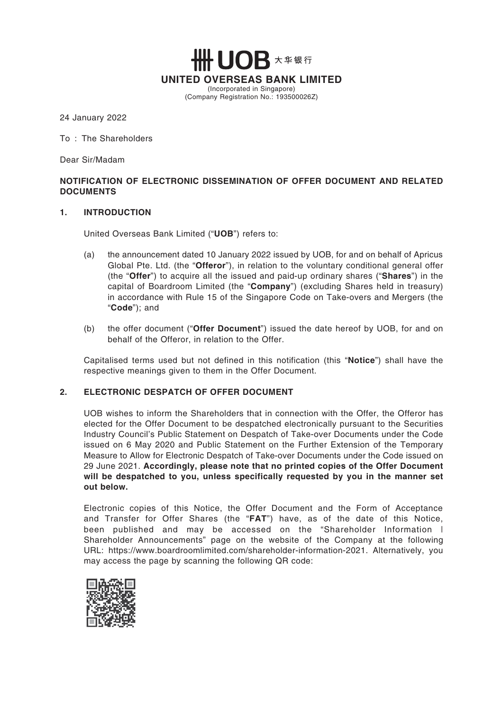**IOR** 大华银行 **UNITED OVERSEAS BANK LIMITED** (Incorporated in Singapore) (Company Registration No.: 193500026Z)

#### 24 January 2022

To : The Shareholders

Dear Sir/Madam

## **NOTIFICATION OF ELECTRONIC DISSEMINATION OF OFFER DOCUMENT AND RELATED DOCUMENTS**

#### **1. INTRODUCTION**

United Overseas Bank Limited ("**UOB**") refers to:

- (a) the announcement dated 10 January 2022 issued by UOB, for and on behalf of Apricus Global Pte. Ltd. (the "**Offeror**"), in relation to the voluntary conditional general offer (the "**Offer**") to acquire all the issued and paid-up ordinary shares ("**Shares**") in the capital of Boardroom Limited (the "**Company**") (excluding Shares held in treasury) in accordance with Rule 15 of the Singapore Code on Take-overs and Mergers (the "**Code**"); and
- (b) the offer document ("**Offer Document**") issued the date hereof by UOB, for and on behalf of the Offeror, in relation to the Offer.

Capitalised terms used but not defined in this notification (this "**Notice**") shall have the respective meanings given to them in the Offer Document.

## **2. ELECTRONIC DESPATCH OF OFFER DOCUMENT**

UOB wishes to inform the Shareholders that in connection with the Offer, the Offeror has elected for the Offer Document to be despatched electronically pursuant to the Securities Industry Council's Public Statement on Despatch of Take-over Documents under the Code issued on 6 May 2020 and Public Statement on the Further Extension of the Temporary Measure to Allow for Electronic Despatch of Take-over Documents under the Code issued on 29 June 2021. **Accordingly, please note that no printed copies of the Offer Document will be despatched to you, unless specifically requested by you in the manner set out below.**

Electronic copies of this Notice, the Offer Document and the Form of Acceptance and Transfer for Offer Shares (the "**FAT**") have, as of the date of this Notice, been published and may be accessed on the "Shareholder Information | Shareholder Announcements" page on the website of the Company at the following URL: https://www.boardroomlimited.com/shareholder-information-2021. Alternatively, you may access the page by scanning the following QR code:

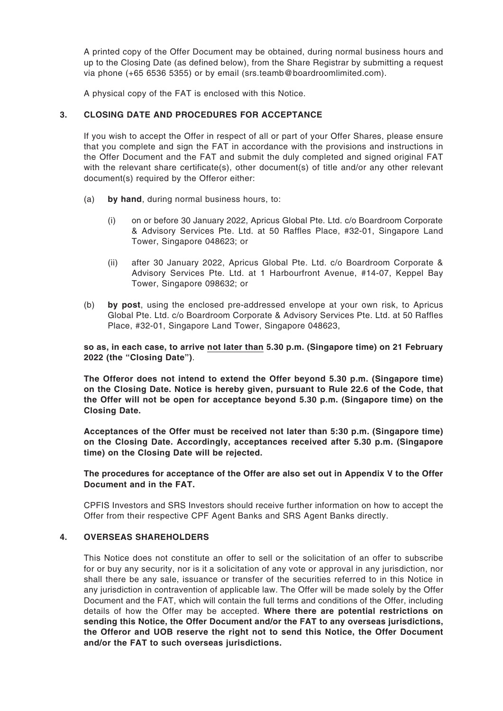A printed copy of the Offer Document may be obtained, during normal business hours and up to the Closing Date (as defined below), from the Share Registrar by submitting a request via phone (+65 6536 5355) or by email (srs.teamb@boardroomlimited.com).

A physical copy of the FAT is enclosed with this Notice.

## **3. CLOSING DATE AND PROCEDURES FOR ACCEPTANCE**

If you wish to accept the Offer in respect of all or part of your Offer Shares, please ensure that you complete and sign the FAT in accordance with the provisions and instructions in the Offer Document and the FAT and submit the duly completed and signed original FAT with the relevant share certificate(s), other document(s) of title and/or any other relevant document(s) required by the Offeror either:

- (a) **by hand**, during normal business hours, to:
	- (i) on or before 30 January 2022, Apricus Global Pte. Ltd. c/o Boardroom Corporate & Advisory Services Pte. Ltd. at 50 Raffles Place, #32-01, Singapore Land Tower, Singapore 048623; or
	- (ii) after 30 January 2022, Apricus Global Pte. Ltd. c/o Boardroom Corporate & Advisory Services Pte. Ltd. at 1 Harbourfront Avenue, #14-07, Keppel Bay Tower, Singapore 098632; or
- (b) **by post**, using the enclosed pre-addressed envelope at your own risk, to Apricus Global Pte. Ltd. c/o Boardroom Corporate & Advisory Services Pte. Ltd. at 50 Raffles Place, #32-01, Singapore Land Tower, Singapore 048623,

**so as, in each case, to arrive not later than 5.30 p.m. (Singapore time) on 21 February 2022 (the "Closing Date")**.

**The Offeror does not intend to extend the Offer beyond 5.30 p.m. (Singapore time) on the Closing Date. Notice is hereby given, pursuant to Rule 22.6 of the Code, that the Offer will not be open for acceptance beyond 5.30 p.m. (Singapore time) on the Closing Date.**

**Acceptances of the Offer must be received not later than 5:30 p.m. (Singapore time) on the Closing Date. Accordingly, acceptances received after 5.30 p.m. (Singapore time) on the Closing Date will be rejected.**

## **The procedures for acceptance of the Offer are also set out in Appendix V to the Offer Document and in the FAT.**

CPFIS Investors and SRS Investors should receive further information on how to accept the Offer from their respective CPF Agent Banks and SRS Agent Banks directly.

## **4. OVERSEAS SHAREHOLDERS**

This Notice does not constitute an offer to sell or the solicitation of an offer to subscribe for or buy any security, nor is it a solicitation of any vote or approval in any jurisdiction, nor shall there be any sale, issuance or transfer of the securities referred to in this Notice in any jurisdiction in contravention of applicable law. The Offer will be made solely by the Offer Document and the FAT, which will contain the full terms and conditions of the Offer, including details of how the Offer may be accepted. **Where there are potential restrictions on sending this Notice, the Offer Document and/or the FAT to any overseas jurisdictions, the Offeror and UOB reserve the right not to send this Notice, the Offer Document and/or the FAT to such overseas jurisdictions.**